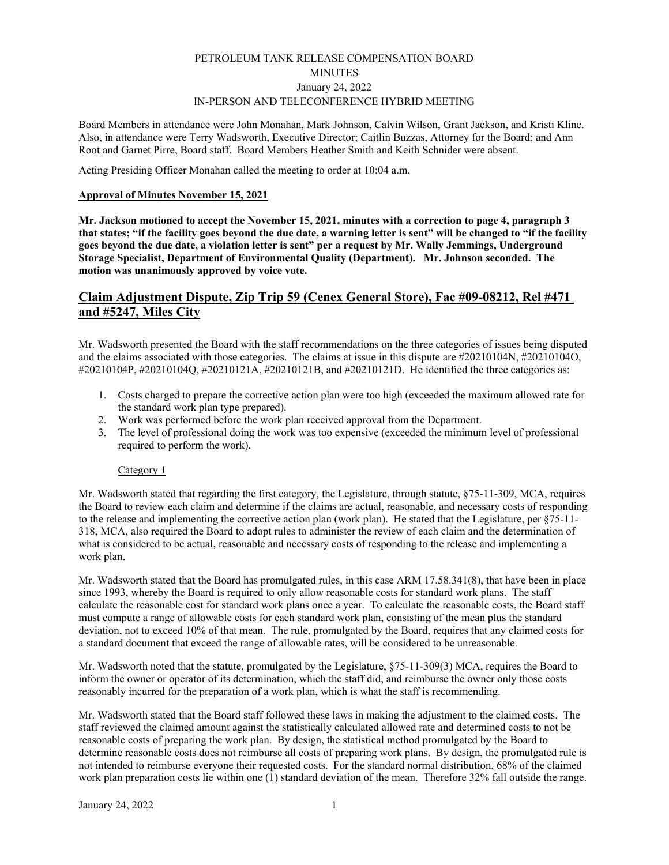# PETROLEUM TANK RELEASE COMPENSATION BOARD **MINUTES** January 24, 2022 IN-PERSON AND TELECONFERENCE HYBRID MEETING

Board Members in attendance were John Monahan, Mark Johnson, Calvin Wilson, Grant Jackson, and Kristi Kline. Also, in attendance were Terry Wadsworth, Executive Director; Caitlin Buzzas, Attorney for the Board; and Ann Root and Garnet Pirre, Board staff. Board Members Heather Smith and Keith Schnider were absent.

Acting Presiding Officer Monahan called the meeting to order at 10:04 a.m.

## **Approval of Minutes November 15, 2021**

**Mr. Jackson motioned to accept the November 15, 2021, minutes with a correction to page 4, paragraph 3 that states; "if the facility goes beyond the due date, a warning letter is sent" will be changed to "if the facility goes beyond the due date, a violation letter is sent" per a request by Mr. Wally Jemmings, Underground Storage Specialist, Department of Environmental Quality (Department). Mr. Johnson seconded. The motion was unanimously approved by voice vote.** 

# **Claim Adjustment Dispute, Zip Trip 59 (Cenex General Store), Fac #09-08212, Rel #471 and #5247, Miles City**

Mr. Wadsworth presented the Board with the staff recommendations on the three categories of issues being disputed and the claims associated with those categories. The claims at issue in this dispute are #20210104N, #20210104O, #20210104P, #20210104Q, #20210121A, #20210121B, and #20210121D. He identified the three categories as:

- 1. Costs charged to prepare the corrective action plan were too high (exceeded the maximum allowed rate for the standard work plan type prepared).
- 2. Work was performed before the work plan received approval from the Department.
- 3. The level of professional doing the work was too expensive (exceeded the minimum level of professional required to perform the work).

## Category 1

Mr. Wadsworth stated that regarding the first category, the Legislature, through statute, §75-11-309, MCA, requires the Board to review each claim and determine if the claims are actual, reasonable, and necessary costs of responding to the release and implementing the corrective action plan (work plan). He stated that the Legislature, per §75-11- 318, MCA, also required the Board to adopt rules to administer the review of each claim and the determination of what is considered to be actual, reasonable and necessary costs of responding to the release and implementing a work plan.

Mr. Wadsworth stated that the Board has promulgated rules, in this case ARM 17.58.341(8), that have been in place since 1993, whereby the Board is required to only allow reasonable costs for standard work plans. The staff calculate the reasonable cost for standard work plans once a year. To calculate the reasonable costs, the Board staff must compute a range of allowable costs for each standard work plan, consisting of the mean plus the standard deviation, not to exceed 10% of that mean. The rule, promulgated by the Board, requires that any claimed costs for a standard document that exceed the range of allowable rates, will be considered to be unreasonable.

Mr. Wadsworth noted that the statute, promulgated by the Legislature, §75-11-309(3) MCA, requires the Board to inform the owner or operator of its determination, which the staff did, and reimburse the owner only those costs reasonably incurred for the preparation of a work plan, which is what the staff is recommending.

Mr. Wadsworth stated that the Board staff followed these laws in making the adjustment to the claimed costs. The staff reviewed the claimed amount against the statistically calculated allowed rate and determined costs to not be reasonable costs of preparing the work plan. By design, the statistical method promulgated by the Board to determine reasonable costs does not reimburse all costs of preparing work plans. By design, the promulgated rule is not intended to reimburse everyone their requested costs. For the standard normal distribution, 68% of the claimed work plan preparation costs lie within one (1) standard deviation of the mean. Therefore 32% fall outside the range.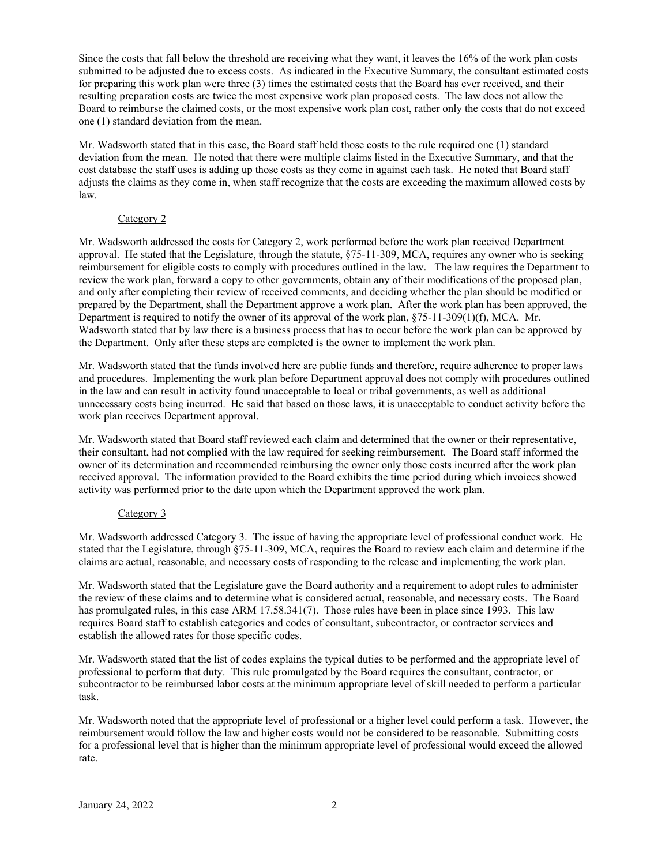Since the costs that fall below the threshold are receiving what they want, it leaves the 16% of the work plan costs submitted to be adjusted due to excess costs. As indicated in the Executive Summary, the consultant estimated costs for preparing this work plan were three (3) times the estimated costs that the Board has ever received, and their resulting preparation costs are twice the most expensive work plan proposed costs. The law does not allow the Board to reimburse the claimed costs, or the most expensive work plan cost, rather only the costs that do not exceed one (1) standard deviation from the mean.

Mr. Wadsworth stated that in this case, the Board staff held those costs to the rule required one (1) standard deviation from the mean. He noted that there were multiple claims listed in the Executive Summary, and that the cost database the staff uses is adding up those costs as they come in against each task. He noted that Board staff adjusts the claims as they come in, when staff recognize that the costs are exceeding the maximum allowed costs by law.

## Category 2

Mr. Wadsworth addressed the costs for Category 2, work performed before the work plan received Department approval. He stated that the Legislature, through the statute, §75-11-309, MCA, requires any owner who is seeking reimbursement for eligible costs to comply with procedures outlined in the law. The law requires the Department to review the work plan, forward a copy to other governments, obtain any of their modifications of the proposed plan, and only after completing their review of received comments, and deciding whether the plan should be modified or prepared by the Department, shall the Department approve a work plan. After the work plan has been approved, the Department is required to notify the owner of its approval of the work plan,  $\S75-11-309(1)(f)$ , MCA. Mr. Wadsworth stated that by law there is a business process that has to occur before the work plan can be approved by the Department. Only after these steps are completed is the owner to implement the work plan.

Mr. Wadsworth stated that the funds involved here are public funds and therefore, require adherence to proper laws and procedures. Implementing the work plan before Department approval does not comply with procedures outlined in the law and can result in activity found unacceptable to local or tribal governments, as well as additional unnecessary costs being incurred. He said that based on those laws, it is unacceptable to conduct activity before the work plan receives Department approval.

Mr. Wadsworth stated that Board staff reviewed each claim and determined that the owner or their representative, their consultant, had not complied with the law required for seeking reimbursement. The Board staff informed the owner of its determination and recommended reimbursing the owner only those costs incurred after the work plan received approval. The information provided to the Board exhibits the time period during which invoices showed activity was performed prior to the date upon which the Department approved the work plan.

## Category 3

Mr. Wadsworth addressed Category 3. The issue of having the appropriate level of professional conduct work. He stated that the Legislature, through §75-11-309, MCA, requires the Board to review each claim and determine if the claims are actual, reasonable, and necessary costs of responding to the release and implementing the work plan.

Mr. Wadsworth stated that the Legislature gave the Board authority and a requirement to adopt rules to administer the review of these claims and to determine what is considered actual, reasonable, and necessary costs. The Board has promulgated rules, in this case ARM 17.58.341(7). Those rules have been in place since 1993. This law requires Board staff to establish categories and codes of consultant, subcontractor, or contractor services and establish the allowed rates for those specific codes.

Mr. Wadsworth stated that the list of codes explains the typical duties to be performed and the appropriate level of professional to perform that duty. This rule promulgated by the Board requires the consultant, contractor, or subcontractor to be reimbursed labor costs at the minimum appropriate level of skill needed to perform a particular task.

Mr. Wadsworth noted that the appropriate level of professional or a higher level could perform a task. However, the reimbursement would follow the law and higher costs would not be considered to be reasonable. Submitting costs for a professional level that is higher than the minimum appropriate level of professional would exceed the allowed rate.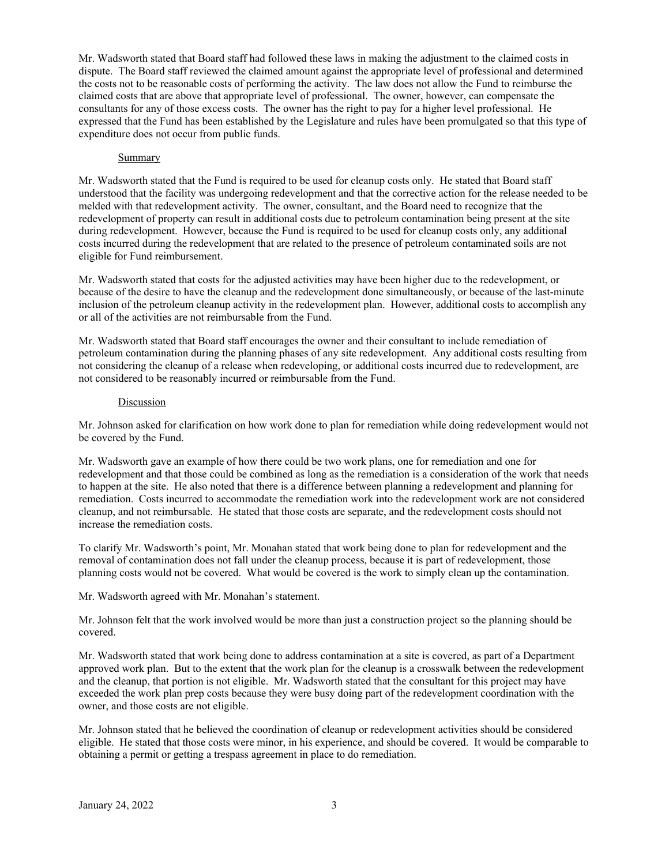Mr. Wadsworth stated that Board staff had followed these laws in making the adjustment to the claimed costs in dispute. The Board staff reviewed the claimed amount against the appropriate level of professional and determined the costs not to be reasonable costs of performing the activity. The law does not allow the Fund to reimburse the claimed costs that are above that appropriate level of professional. The owner, however, can compensate the consultants for any of those excess costs. The owner has the right to pay for a higher level professional. He expressed that the Fund has been established by the Legislature and rules have been promulgated so that this type of expenditure does not occur from public funds.

#### **Summary**

Mr. Wadsworth stated that the Fund is required to be used for cleanup costs only. He stated that Board staff understood that the facility was undergoing redevelopment and that the corrective action for the release needed to be melded with that redevelopment activity. The owner, consultant, and the Board need to recognize that the redevelopment of property can result in additional costs due to petroleum contamination being present at the site during redevelopment. However, because the Fund is required to be used for cleanup costs only, any additional costs incurred during the redevelopment that are related to the presence of petroleum contaminated soils are not eligible for Fund reimbursement.

Mr. Wadsworth stated that costs for the adjusted activities may have been higher due to the redevelopment, or because of the desire to have the cleanup and the redevelopment done simultaneously, or because of the last-minute inclusion of the petroleum cleanup activity in the redevelopment plan. However, additional costs to accomplish any or all of the activities are not reimbursable from the Fund.

Mr. Wadsworth stated that Board staff encourages the owner and their consultant to include remediation of petroleum contamination during the planning phases of any site redevelopment. Any additional costs resulting from not considering the cleanup of a release when redeveloping, or additional costs incurred due to redevelopment, are not considered to be reasonably incurred or reimbursable from the Fund.

#### Discussion

Mr. Johnson asked for clarification on how work done to plan for remediation while doing redevelopment would not be covered by the Fund.

Mr. Wadsworth gave an example of how there could be two work plans, one for remediation and one for redevelopment and that those could be combined as long as the remediation is a consideration of the work that needs to happen at the site. He also noted that there is a difference between planning a redevelopment and planning for remediation. Costs incurred to accommodate the remediation work into the redevelopment work are not considered cleanup, and not reimbursable. He stated that those costs are separate, and the redevelopment costs should not increase the remediation costs.

To clarify Mr. Wadsworth's point, Mr. Monahan stated that work being done to plan for redevelopment and the removal of contamination does not fall under the cleanup process, because it is part of redevelopment, those planning costs would not be covered. What would be covered is the work to simply clean up the contamination.

Mr. Wadsworth agreed with Mr. Monahan's statement.

Mr. Johnson felt that the work involved would be more than just a construction project so the planning should be covered.

Mr. Wadsworth stated that work being done to address contamination at a site is covered, as part of a Department approved work plan. But to the extent that the work plan for the cleanup is a crosswalk between the redevelopment and the cleanup, that portion is not eligible. Mr. Wadsworth stated that the consultant for this project may have exceeded the work plan prep costs because they were busy doing part of the redevelopment coordination with the owner, and those costs are not eligible.

Mr. Johnson stated that he believed the coordination of cleanup or redevelopment activities should be considered eligible. He stated that those costs were minor, in his experience, and should be covered. It would be comparable to obtaining a permit or getting a trespass agreement in place to do remediation.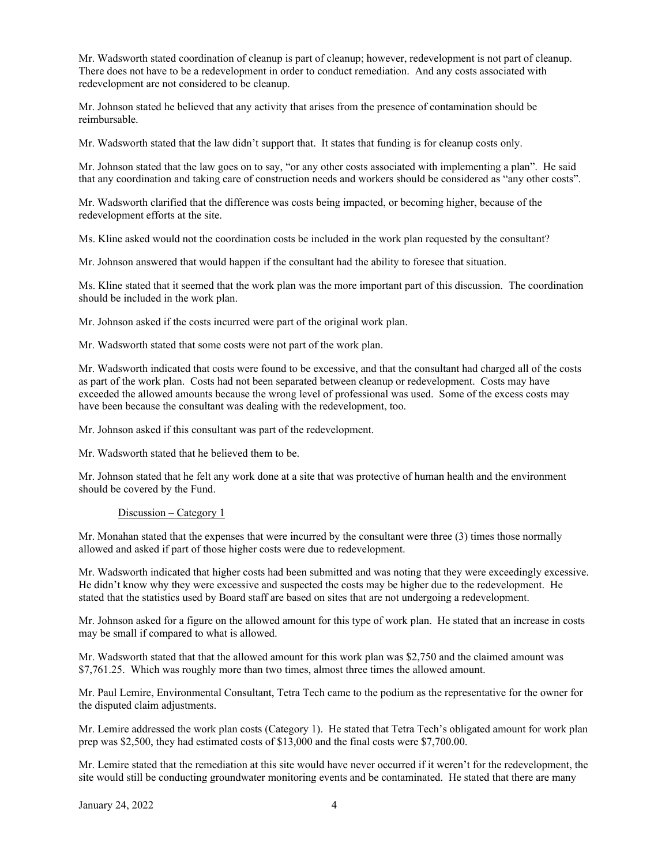Mr. Wadsworth stated coordination of cleanup is part of cleanup; however, redevelopment is not part of cleanup. There does not have to be a redevelopment in order to conduct remediation. And any costs associated with redevelopment are not considered to be cleanup.

Mr. Johnson stated he believed that any activity that arises from the presence of contamination should be reimbursable.

Mr. Wadsworth stated that the law didn't support that. It states that funding is for cleanup costs only.

Mr. Johnson stated that the law goes on to say, "or any other costs associated with implementing a plan". He said that any coordination and taking care of construction needs and workers should be considered as "any other costs".

Mr. Wadsworth clarified that the difference was costs being impacted, or becoming higher, because of the redevelopment efforts at the site.

Ms. Kline asked would not the coordination costs be included in the work plan requested by the consultant?

Mr. Johnson answered that would happen if the consultant had the ability to foresee that situation.

Ms. Kline stated that it seemed that the work plan was the more important part of this discussion. The coordination should be included in the work plan.

Mr. Johnson asked if the costs incurred were part of the original work plan.

Mr. Wadsworth stated that some costs were not part of the work plan.

Mr. Wadsworth indicated that costs were found to be excessive, and that the consultant had charged all of the costs as part of the work plan. Costs had not been separated between cleanup or redevelopment. Costs may have exceeded the allowed amounts because the wrong level of professional was used. Some of the excess costs may have been because the consultant was dealing with the redevelopment, too.

Mr. Johnson asked if this consultant was part of the redevelopment.

Mr. Wadsworth stated that he believed them to be.

Mr. Johnson stated that he felt any work done at a site that was protective of human health and the environment should be covered by the Fund.

#### Discussion – Category 1

Mr. Monahan stated that the expenses that were incurred by the consultant were three (3) times those normally allowed and asked if part of those higher costs were due to redevelopment.

Mr. Wadsworth indicated that higher costs had been submitted and was noting that they were exceedingly excessive. He didn't know why they were excessive and suspected the costs may be higher due to the redevelopment. He stated that the statistics used by Board staff are based on sites that are not undergoing a redevelopment.

Mr. Johnson asked for a figure on the allowed amount for this type of work plan. He stated that an increase in costs may be small if compared to what is allowed.

Mr. Wadsworth stated that that the allowed amount for this work plan was \$2,750 and the claimed amount was \$7,761.25. Which was roughly more than two times, almost three times the allowed amount.

Mr. Paul Lemire, Environmental Consultant, Tetra Tech came to the podium as the representative for the owner for the disputed claim adjustments.

Mr. Lemire addressed the work plan costs (Category 1). He stated that Tetra Tech's obligated amount for work plan prep was \$2,500, they had estimated costs of \$13,000 and the final costs were \$7,700.00.

Mr. Lemire stated that the remediation at this site would have never occurred if it weren't for the redevelopment, the site would still be conducting groundwater monitoring events and be contaminated. He stated that there are many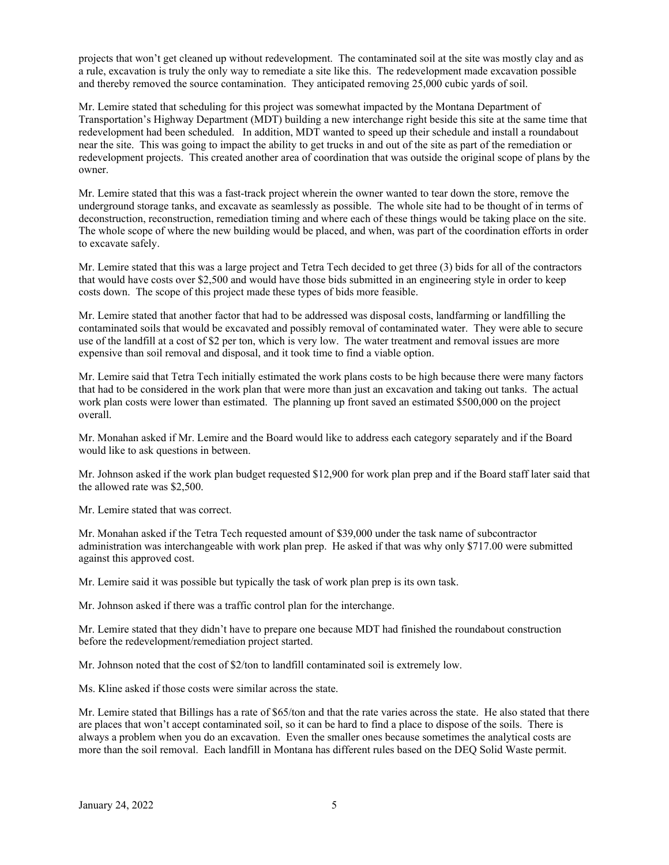projects that won't get cleaned up without redevelopment. The contaminated soil at the site was mostly clay and as a rule, excavation is truly the only way to remediate a site like this. The redevelopment made excavation possible and thereby removed the source contamination. They anticipated removing 25,000 cubic yards of soil.

Mr. Lemire stated that scheduling for this project was somewhat impacted by the Montana Department of Transportation's Highway Department (MDT) building a new interchange right beside this site at the same time that redevelopment had been scheduled. In addition, MDT wanted to speed up their schedule and install a roundabout near the site. This was going to impact the ability to get trucks in and out of the site as part of the remediation or redevelopment projects. This created another area of coordination that was outside the original scope of plans by the owner.

Mr. Lemire stated that this was a fast-track project wherein the owner wanted to tear down the store, remove the underground storage tanks, and excavate as seamlessly as possible. The whole site had to be thought of in terms of deconstruction, reconstruction, remediation timing and where each of these things would be taking place on the site. The whole scope of where the new building would be placed, and when, was part of the coordination efforts in order to excavate safely.

Mr. Lemire stated that this was a large project and Tetra Tech decided to get three (3) bids for all of the contractors that would have costs over \$2,500 and would have those bids submitted in an engineering style in order to keep costs down. The scope of this project made these types of bids more feasible.

Mr. Lemire stated that another factor that had to be addressed was disposal costs, landfarming or landfilling the contaminated soils that would be excavated and possibly removal of contaminated water. They were able to secure use of the landfill at a cost of \$2 per ton, which is very low. The water treatment and removal issues are more expensive than soil removal and disposal, and it took time to find a viable option.

Mr. Lemire said that Tetra Tech initially estimated the work plans costs to be high because there were many factors that had to be considered in the work plan that were more than just an excavation and taking out tanks. The actual work plan costs were lower than estimated. The planning up front saved an estimated \$500,000 on the project overall.

Mr. Monahan asked if Mr. Lemire and the Board would like to address each category separately and if the Board would like to ask questions in between.

Mr. Johnson asked if the work plan budget requested \$12,900 for work plan prep and if the Board staff later said that the allowed rate was \$2,500.

Mr. Lemire stated that was correct.

Mr. Monahan asked if the Tetra Tech requested amount of \$39,000 under the task name of subcontractor administration was interchangeable with work plan prep. He asked if that was why only \$717.00 were submitted against this approved cost.

Mr. Lemire said it was possible but typically the task of work plan prep is its own task.

Mr. Johnson asked if there was a traffic control plan for the interchange.

Mr. Lemire stated that they didn't have to prepare one because MDT had finished the roundabout construction before the redevelopment/remediation project started.

Mr. Johnson noted that the cost of \$2/ton to landfill contaminated soil is extremely low.

Ms. Kline asked if those costs were similar across the state.

Mr. Lemire stated that Billings has a rate of \$65/ton and that the rate varies across the state. He also stated that there are places that won't accept contaminated soil, so it can be hard to find a place to dispose of the soils. There is always a problem when you do an excavation. Even the smaller ones because sometimes the analytical costs are more than the soil removal. Each landfill in Montana has different rules based on the DEQ Solid Waste permit.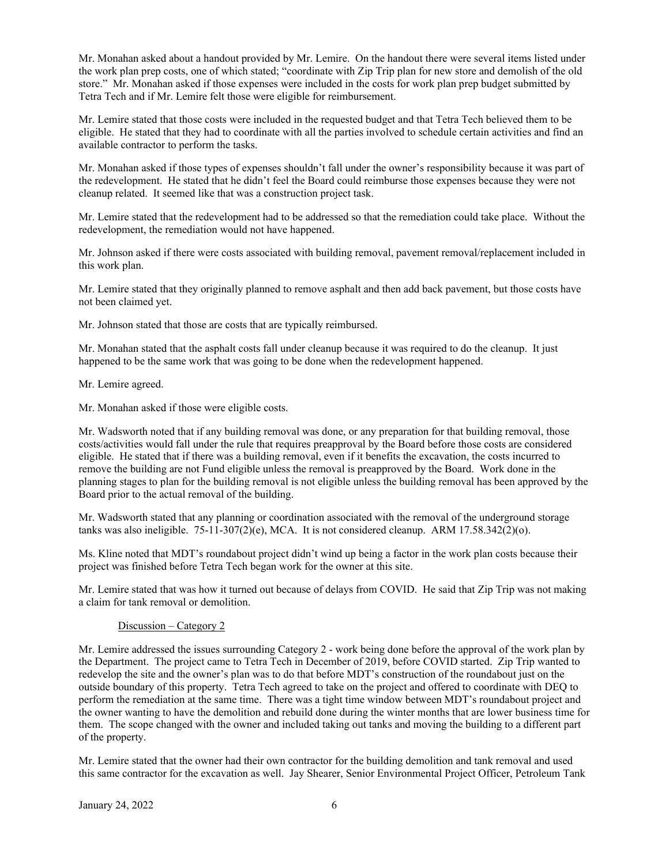Mr. Monahan asked about a handout provided by Mr. Lemire. On the handout there were several items listed under the work plan prep costs, one of which stated; "coordinate with Zip Trip plan for new store and demolish of the old store." Mr. Monahan asked if those expenses were included in the costs for work plan prep budget submitted by Tetra Tech and if Mr. Lemire felt those were eligible for reimbursement.

Mr. Lemire stated that those costs were included in the requested budget and that Tetra Tech believed them to be eligible. He stated that they had to coordinate with all the parties involved to schedule certain activities and find an available contractor to perform the tasks.

Mr. Monahan asked if those types of expenses shouldn't fall under the owner's responsibility because it was part of the redevelopment. He stated that he didn't feel the Board could reimburse those expenses because they were not cleanup related. It seemed like that was a construction project task.

Mr. Lemire stated that the redevelopment had to be addressed so that the remediation could take place. Without the redevelopment, the remediation would not have happened.

Mr. Johnson asked if there were costs associated with building removal, pavement removal/replacement included in this work plan.

Mr. Lemire stated that they originally planned to remove asphalt and then add back pavement, but those costs have not been claimed yet.

Mr. Johnson stated that those are costs that are typically reimbursed.

Mr. Monahan stated that the asphalt costs fall under cleanup because it was required to do the cleanup. It just happened to be the same work that was going to be done when the redevelopment happened.

Mr. Lemire agreed.

Mr. Monahan asked if those were eligible costs.

Mr. Wadsworth noted that if any building removal was done, or any preparation for that building removal, those costs/activities would fall under the rule that requires preapproval by the Board before those costs are considered eligible. He stated that if there was a building removal, even if it benefits the excavation, the costs incurred to remove the building are not Fund eligible unless the removal is preapproved by the Board. Work done in the planning stages to plan for the building removal is not eligible unless the building removal has been approved by the Board prior to the actual removal of the building.

Mr. Wadsworth stated that any planning or coordination associated with the removal of the underground storage tanks was also ineligible.  $75-11-307(2)(e)$ , MCA. It is not considered cleanup. ARM  $17.58.342(2)(o)$ .

Ms. Kline noted that MDT's roundabout project didn't wind up being a factor in the work plan costs because their project was finished before Tetra Tech began work for the owner at this site.

Mr. Lemire stated that was how it turned out because of delays from COVID. He said that Zip Trip was not making a claim for tank removal or demolition.

## Discussion – Category 2

Mr. Lemire addressed the issues surrounding Category 2 - work being done before the approval of the work plan by the Department. The project came to Tetra Tech in December of 2019, before COVID started. Zip Trip wanted to redevelop the site and the owner's plan was to do that before MDT's construction of the roundabout just on the outside boundary of this property. Tetra Tech agreed to take on the project and offered to coordinate with DEQ to perform the remediation at the same time. There was a tight time window between MDT's roundabout project and the owner wanting to have the demolition and rebuild done during the winter months that are lower business time for them. The scope changed with the owner and included taking out tanks and moving the building to a different part of the property.

Mr. Lemire stated that the owner had their own contractor for the building demolition and tank removal and used this same contractor for the excavation as well. Jay Shearer, Senior Environmental Project Officer, Petroleum Tank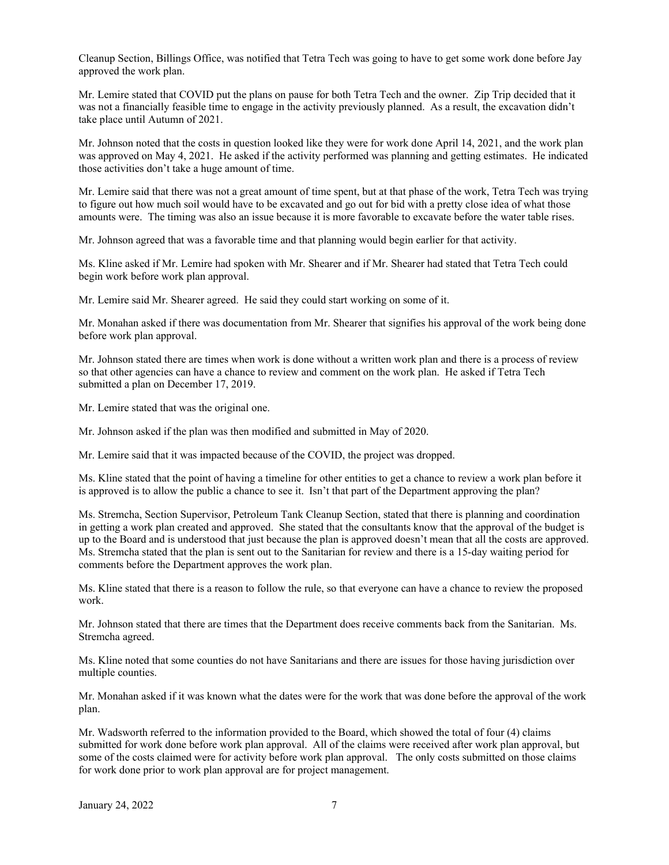Cleanup Section, Billings Office, was notified that Tetra Tech was going to have to get some work done before Jay approved the work plan.

Mr. Lemire stated that COVID put the plans on pause for both Tetra Tech and the owner. Zip Trip decided that it was not a financially feasible time to engage in the activity previously planned. As a result, the excavation didn't take place until Autumn of 2021.

Mr. Johnson noted that the costs in question looked like they were for work done April 14, 2021, and the work plan was approved on May 4, 2021. He asked if the activity performed was planning and getting estimates. He indicated those activities don't take a huge amount of time.

Mr. Lemire said that there was not a great amount of time spent, but at that phase of the work, Tetra Tech was trying to figure out how much soil would have to be excavated and go out for bid with a pretty close idea of what those amounts were. The timing was also an issue because it is more favorable to excavate before the water table rises.

Mr. Johnson agreed that was a favorable time and that planning would begin earlier for that activity.

Ms. Kline asked if Mr. Lemire had spoken with Mr. Shearer and if Mr. Shearer had stated that Tetra Tech could begin work before work plan approval.

Mr. Lemire said Mr. Shearer agreed. He said they could start working on some of it.

Mr. Monahan asked if there was documentation from Mr. Shearer that signifies his approval of the work being done before work plan approval.

Mr. Johnson stated there are times when work is done without a written work plan and there is a process of review so that other agencies can have a chance to review and comment on the work plan. He asked if Tetra Tech submitted a plan on December 17, 2019.

Mr. Lemire stated that was the original one.

Mr. Johnson asked if the plan was then modified and submitted in May of 2020.

Mr. Lemire said that it was impacted because of the COVID, the project was dropped.

Ms. Kline stated that the point of having a timeline for other entities to get a chance to review a work plan before it is approved is to allow the public a chance to see it. Isn't that part of the Department approving the plan?

Ms. Stremcha, Section Supervisor, Petroleum Tank Cleanup Section, stated that there is planning and coordination in getting a work plan created and approved. She stated that the consultants know that the approval of the budget is up to the Board and is understood that just because the plan is approved doesn't mean that all the costs are approved. Ms. Stremcha stated that the plan is sent out to the Sanitarian for review and there is a 15-day waiting period for comments before the Department approves the work plan.

Ms. Kline stated that there is a reason to follow the rule, so that everyone can have a chance to review the proposed work.

Mr. Johnson stated that there are times that the Department does receive comments back from the Sanitarian. Ms. Stremcha agreed.

Ms. Kline noted that some counties do not have Sanitarians and there are issues for those having jurisdiction over multiple counties.

Mr. Monahan asked if it was known what the dates were for the work that was done before the approval of the work plan.

Mr. Wadsworth referred to the information provided to the Board, which showed the total of four (4) claims submitted for work done before work plan approval. All of the claims were received after work plan approval, but some of the costs claimed were for activity before work plan approval. The only costs submitted on those claims for work done prior to work plan approval are for project management.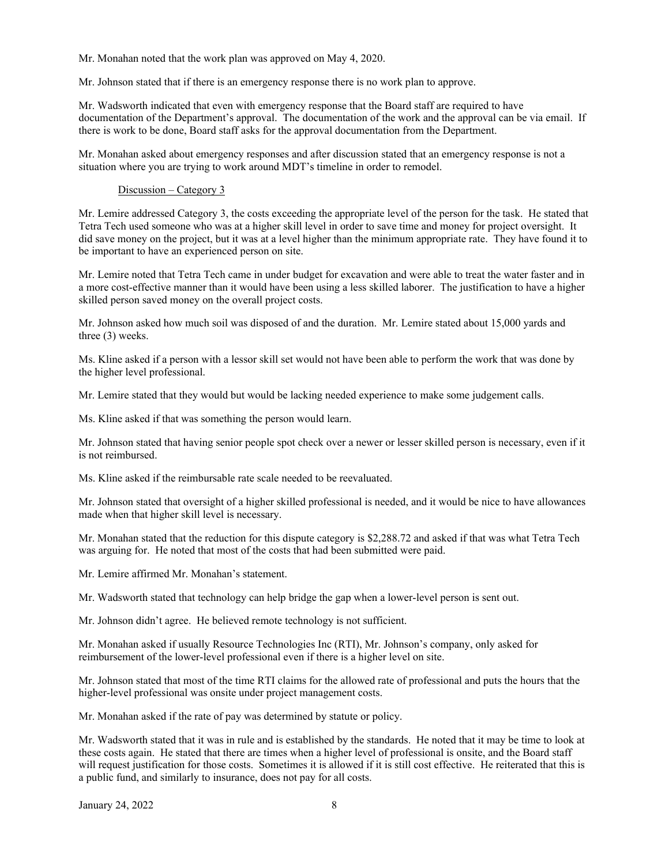Mr. Monahan noted that the work plan was approved on May 4, 2020.

Mr. Johnson stated that if there is an emergency response there is no work plan to approve.

Mr. Wadsworth indicated that even with emergency response that the Board staff are required to have documentation of the Department's approval. The documentation of the work and the approval can be via email. If there is work to be done, Board staff asks for the approval documentation from the Department.

Mr. Monahan asked about emergency responses and after discussion stated that an emergency response is not a situation where you are trying to work around MDT's timeline in order to remodel.

### Discussion – Category 3

Mr. Lemire addressed Category 3, the costs exceeding the appropriate level of the person for the task. He stated that Tetra Tech used someone who was at a higher skill level in order to save time and money for project oversight. It did save money on the project, but it was at a level higher than the minimum appropriate rate. They have found it to be important to have an experienced person on site.

Mr. Lemire noted that Tetra Tech came in under budget for excavation and were able to treat the water faster and in a more cost-effective manner than it would have been using a less skilled laborer. The justification to have a higher skilled person saved money on the overall project costs.

Mr. Johnson asked how much soil was disposed of and the duration. Mr. Lemire stated about 15,000 yards and three (3) weeks.

Ms. Kline asked if a person with a lessor skill set would not have been able to perform the work that was done by the higher level professional.

Mr. Lemire stated that they would but would be lacking needed experience to make some judgement calls.

Ms. Kline asked if that was something the person would learn.

Mr. Johnson stated that having senior people spot check over a newer or lesser skilled person is necessary, even if it is not reimbursed.

Ms. Kline asked if the reimbursable rate scale needed to be reevaluated.

Mr. Johnson stated that oversight of a higher skilled professional is needed, and it would be nice to have allowances made when that higher skill level is necessary.

Mr. Monahan stated that the reduction for this dispute category is \$2,288.72 and asked if that was what Tetra Tech was arguing for. He noted that most of the costs that had been submitted were paid.

Mr. Lemire affirmed Mr. Monahan's statement.

Mr. Wadsworth stated that technology can help bridge the gap when a lower-level person is sent out.

Mr. Johnson didn't agree. He believed remote technology is not sufficient.

Mr. Monahan asked if usually Resource Technologies Inc (RTI), Mr. Johnson's company, only asked for reimbursement of the lower-level professional even if there is a higher level on site.

Mr. Johnson stated that most of the time RTI claims for the allowed rate of professional and puts the hours that the higher-level professional was onsite under project management costs.

Mr. Monahan asked if the rate of pay was determined by statute or policy.

Mr. Wadsworth stated that it was in rule and is established by the standards. He noted that it may be time to look at these costs again. He stated that there are times when a higher level of professional is onsite, and the Board staff will request justification for those costs. Sometimes it is allowed if it is still cost effective. He reiterated that this is a public fund, and similarly to insurance, does not pay for all costs.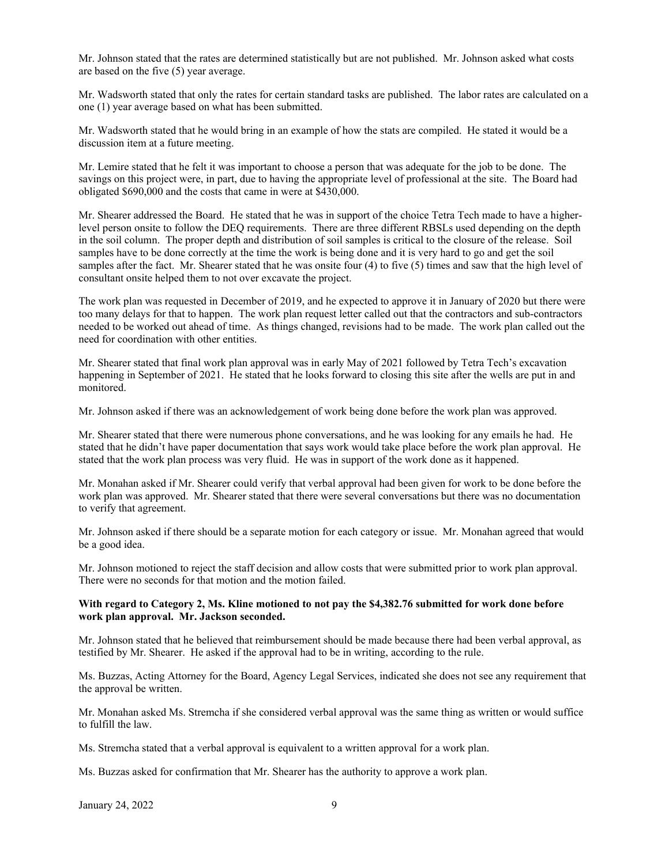Mr. Johnson stated that the rates are determined statistically but are not published. Mr. Johnson asked what costs are based on the five (5) year average.

Mr. Wadsworth stated that only the rates for certain standard tasks are published. The labor rates are calculated on a one (1) year average based on what has been submitted.

Mr. Wadsworth stated that he would bring in an example of how the stats are compiled. He stated it would be a discussion item at a future meeting.

Mr. Lemire stated that he felt it was important to choose a person that was adequate for the job to be done. The savings on this project were, in part, due to having the appropriate level of professional at the site. The Board had obligated \$690,000 and the costs that came in were at \$430,000.

Mr. Shearer addressed the Board. He stated that he was in support of the choice Tetra Tech made to have a higherlevel person onsite to follow the DEQ requirements. There are three different RBSLs used depending on the depth in the soil column. The proper depth and distribution of soil samples is critical to the closure of the release. Soil samples have to be done correctly at the time the work is being done and it is very hard to go and get the soil samples after the fact. Mr. Shearer stated that he was onsite four (4) to five (5) times and saw that the high level of consultant onsite helped them to not over excavate the project.

The work plan was requested in December of 2019, and he expected to approve it in January of 2020 but there were too many delays for that to happen. The work plan request letter called out that the contractors and sub-contractors needed to be worked out ahead of time. As things changed, revisions had to be made. The work plan called out the need for coordination with other entities.

Mr. Shearer stated that final work plan approval was in early May of 2021 followed by Tetra Tech's excavation happening in September of 2021. He stated that he looks forward to closing this site after the wells are put in and monitored.

Mr. Johnson asked if there was an acknowledgement of work being done before the work plan was approved.

Mr. Shearer stated that there were numerous phone conversations, and he was looking for any emails he had. He stated that he didn't have paper documentation that says work would take place before the work plan approval. He stated that the work plan process was very fluid. He was in support of the work done as it happened.

Mr. Monahan asked if Mr. Shearer could verify that verbal approval had been given for work to be done before the work plan was approved. Mr. Shearer stated that there were several conversations but there was no documentation to verify that agreement.

Mr. Johnson asked if there should be a separate motion for each category or issue. Mr. Monahan agreed that would be a good idea.

Mr. Johnson motioned to reject the staff decision and allow costs that were submitted prior to work plan approval. There were no seconds for that motion and the motion failed.

#### **With regard to Category 2, Ms. Kline motioned to not pay the \$4,382.76 submitted for work done before work plan approval. Mr. Jackson seconded.**

Mr. Johnson stated that he believed that reimbursement should be made because there had been verbal approval, as testified by Mr. Shearer. He asked if the approval had to be in writing, according to the rule.

Ms. Buzzas, Acting Attorney for the Board, Agency Legal Services, indicated she does not see any requirement that the approval be written.

Mr. Monahan asked Ms. Stremcha if she considered verbal approval was the same thing as written or would suffice to fulfill the law.

Ms. Stremcha stated that a verbal approval is equivalent to a written approval for a work plan.

Ms. Buzzas asked for confirmation that Mr. Shearer has the authority to approve a work plan.

January 24, 2022 9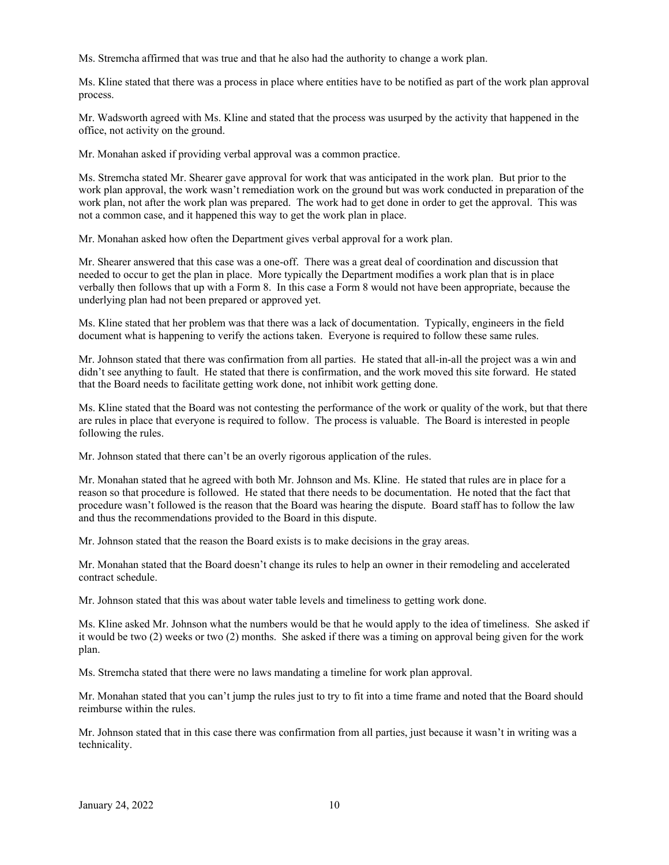Ms. Stremcha affirmed that was true and that he also had the authority to change a work plan.

Ms. Kline stated that there was a process in place where entities have to be notified as part of the work plan approval process.

Mr. Wadsworth agreed with Ms. Kline and stated that the process was usurped by the activity that happened in the office, not activity on the ground.

Mr. Monahan asked if providing verbal approval was a common practice.

Ms. Stremcha stated Mr. Shearer gave approval for work that was anticipated in the work plan. But prior to the work plan approval, the work wasn't remediation work on the ground but was work conducted in preparation of the work plan, not after the work plan was prepared. The work had to get done in order to get the approval. This was not a common case, and it happened this way to get the work plan in place.

Mr. Monahan asked how often the Department gives verbal approval for a work plan.

Mr. Shearer answered that this case was a one-off. There was a great deal of coordination and discussion that needed to occur to get the plan in place. More typically the Department modifies a work plan that is in place verbally then follows that up with a Form 8. In this case a Form 8 would not have been appropriate, because the underlying plan had not been prepared or approved yet.

Ms. Kline stated that her problem was that there was a lack of documentation. Typically, engineers in the field document what is happening to verify the actions taken. Everyone is required to follow these same rules.

Mr. Johnson stated that there was confirmation from all parties. He stated that all-in-all the project was a win and didn't see anything to fault. He stated that there is confirmation, and the work moved this site forward. He stated that the Board needs to facilitate getting work done, not inhibit work getting done.

Ms. Kline stated that the Board was not contesting the performance of the work or quality of the work, but that there are rules in place that everyone is required to follow. The process is valuable. The Board is interested in people following the rules.

Mr. Johnson stated that there can't be an overly rigorous application of the rules.

Mr. Monahan stated that he agreed with both Mr. Johnson and Ms. Kline. He stated that rules are in place for a reason so that procedure is followed. He stated that there needs to be documentation. He noted that the fact that procedure wasn't followed is the reason that the Board was hearing the dispute. Board staff has to follow the law and thus the recommendations provided to the Board in this dispute.

Mr. Johnson stated that the reason the Board exists is to make decisions in the gray areas.

Mr. Monahan stated that the Board doesn't change its rules to help an owner in their remodeling and accelerated contract schedule.

Mr. Johnson stated that this was about water table levels and timeliness to getting work done.

Ms. Kline asked Mr. Johnson what the numbers would be that he would apply to the idea of timeliness. She asked if it would be two (2) weeks or two (2) months. She asked if there was a timing on approval being given for the work plan.

Ms. Stremcha stated that there were no laws mandating a timeline for work plan approval.

Mr. Monahan stated that you can't jump the rules just to try to fit into a time frame and noted that the Board should reimburse within the rules.

Mr. Johnson stated that in this case there was confirmation from all parties, just because it wasn't in writing was a technicality.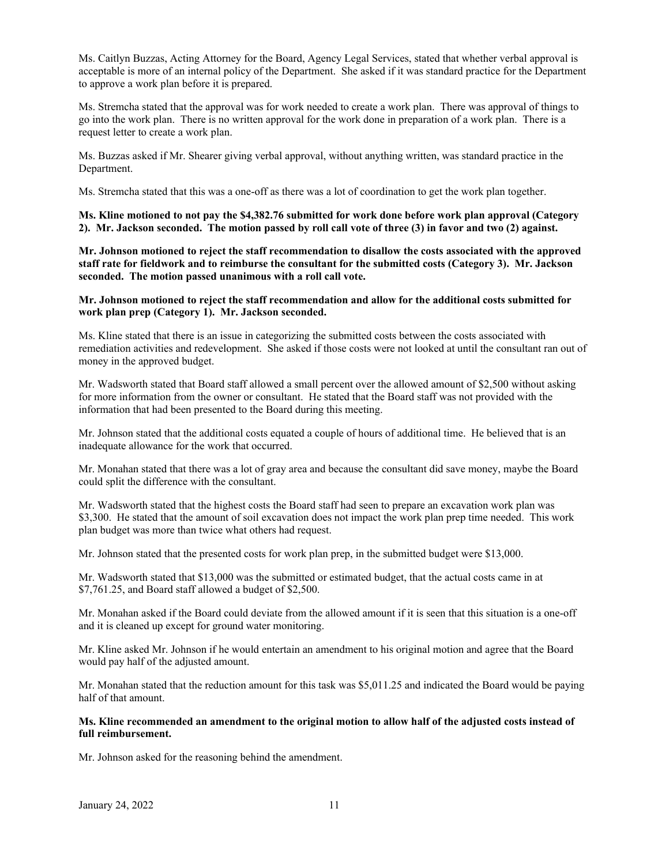Ms. Caitlyn Buzzas, Acting Attorney for the Board, Agency Legal Services, stated that whether verbal approval is acceptable is more of an internal policy of the Department. She asked if it was standard practice for the Department to approve a work plan before it is prepared.

Ms. Stremcha stated that the approval was for work needed to create a work plan. There was approval of things to go into the work plan. There is no written approval for the work done in preparation of a work plan. There is a request letter to create a work plan.

Ms. Buzzas asked if Mr. Shearer giving verbal approval, without anything written, was standard practice in the Department.

Ms. Stremcha stated that this was a one-off as there was a lot of coordination to get the work plan together.

**Ms. Kline motioned to not pay the \$4,382.76 submitted for work done before work plan approval (Category 2). Mr. Jackson seconded. The motion passed by roll call vote of three (3) in favor and two (2) against.** 

**Mr. Johnson motioned to reject the staff recommendation to disallow the costs associated with the approved staff rate for fieldwork and to reimburse the consultant for the submitted costs (Category 3). Mr. Jackson seconded. The motion passed unanimous with a roll call vote.** 

#### **Mr. Johnson motioned to reject the staff recommendation and allow for the additional costs submitted for work plan prep (Category 1). Mr. Jackson seconded.**

Ms. Kline stated that there is an issue in categorizing the submitted costs between the costs associated with remediation activities and redevelopment. She asked if those costs were not looked at until the consultant ran out of money in the approved budget.

Mr. Wadsworth stated that Board staff allowed a small percent over the allowed amount of \$2,500 without asking for more information from the owner or consultant. He stated that the Board staff was not provided with the information that had been presented to the Board during this meeting.

Mr. Johnson stated that the additional costs equated a couple of hours of additional time. He believed that is an inadequate allowance for the work that occurred.

Mr. Monahan stated that there was a lot of gray area and because the consultant did save money, maybe the Board could split the difference with the consultant.

Mr. Wadsworth stated that the highest costs the Board staff had seen to prepare an excavation work plan was \$3,300. He stated that the amount of soil excavation does not impact the work plan prep time needed. This work plan budget was more than twice what others had request.

Mr. Johnson stated that the presented costs for work plan prep, in the submitted budget were \$13,000.

Mr. Wadsworth stated that \$13,000 was the submitted or estimated budget, that the actual costs came in at \$7,761.25, and Board staff allowed a budget of \$2,500.

Mr. Monahan asked if the Board could deviate from the allowed amount if it is seen that this situation is a one-off and it is cleaned up except for ground water monitoring.

Mr. Kline asked Mr. Johnson if he would entertain an amendment to his original motion and agree that the Board would pay half of the adjusted amount.

Mr. Monahan stated that the reduction amount for this task was \$5,011.25 and indicated the Board would be paying half of that amount.

#### **Ms. Kline recommended an amendment to the original motion to allow half of the adjusted costs instead of full reimbursement.**

Mr. Johnson asked for the reasoning behind the amendment.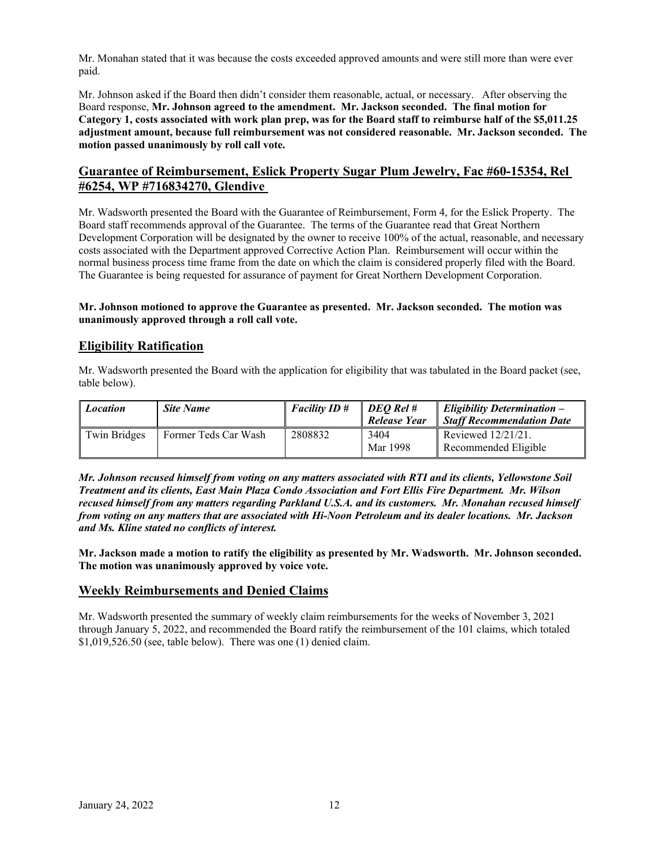Mr. Monahan stated that it was because the costs exceeded approved amounts and were still more than were ever paid.

Mr. Johnson asked if the Board then didn't consider them reasonable, actual, or necessary. After observing the Board response, **Mr. Johnson agreed to the amendment. Mr. Jackson seconded. The final motion for Category 1, costs associated with work plan prep, was for the Board staff to reimburse half of the \$5,011.25 adjustment amount, because full reimbursement was not considered reasonable. Mr. Jackson seconded. The motion passed unanimously by roll call vote.** 

# **Guarantee of Reimbursement, Eslick Property Sugar Plum Jewelry, Fac #60-15354, Rel #6254, WP #716834270, Glendive**

Mr. Wadsworth presented the Board with the Guarantee of Reimbursement, Form 4, for the Eslick Property. The Board staff recommends approval of the Guarantee. The terms of the Guarantee read that Great Northern Development Corporation will be designated by the owner to receive 100% of the actual, reasonable, and necessary costs associated with the Department approved Corrective Action Plan. Reimbursement will occur within the normal business process time frame from the date on which the claim is considered properly filed with the Board. The Guarantee is being requested for assurance of payment for Great Northern Development Corporation.

#### **Mr. Johnson motioned to approve the Guarantee as presented. Mr. Jackson seconded. The motion was unanimously approved through a roll call vote.**

# **Eligibility Ratification**

Mr. Wadsworth presented the Board with the application for eligibility that was tabulated in the Board packet (see, table below).

| <b>Location</b> | <b>Site Name</b>     | $\overline{\phantom{a}}$ Facility ID # | DEO Rel #<br>Release Year | Eligibility Determination $-$<br>Staff Recommendation Date |
|-----------------|----------------------|----------------------------------------|---------------------------|------------------------------------------------------------|
| Twin Bridges    | Former Teds Car Wash | 2808832                                | 3404<br>Mar 1998          | Reviewed 12/21/21.<br>Recommended Eligible                 |

*Mr. Johnson recused himself from voting on any matters associated with RTI and its clients, Yellowstone Soil Treatment and its clients, East Main Plaza Condo Association and Fort Ellis Fire Department. Mr. Wilson recused himself from any matters regarding Parkland U.S.A. and its customers. Mr. Monahan recused himself from voting on any matters that are associated with Hi-Noon Petroleum and its dealer locations. Mr. Jackson and Ms. Kline stated no conflicts of interest.* 

**Mr. Jackson made a motion to ratify the eligibility as presented by Mr. Wadsworth. Mr. Johnson seconded. The motion was unanimously approved by voice vote.** 

# **Weekly Reimbursements and Denied Claims**

Mr. Wadsworth presented the summary of weekly claim reimbursements for the weeks of November 3, 2021 through January 5, 2022, and recommended the Board ratify the reimbursement of the 101 claims, which totaled \$1,019,526.50 (see, table below). There was one (1) denied claim.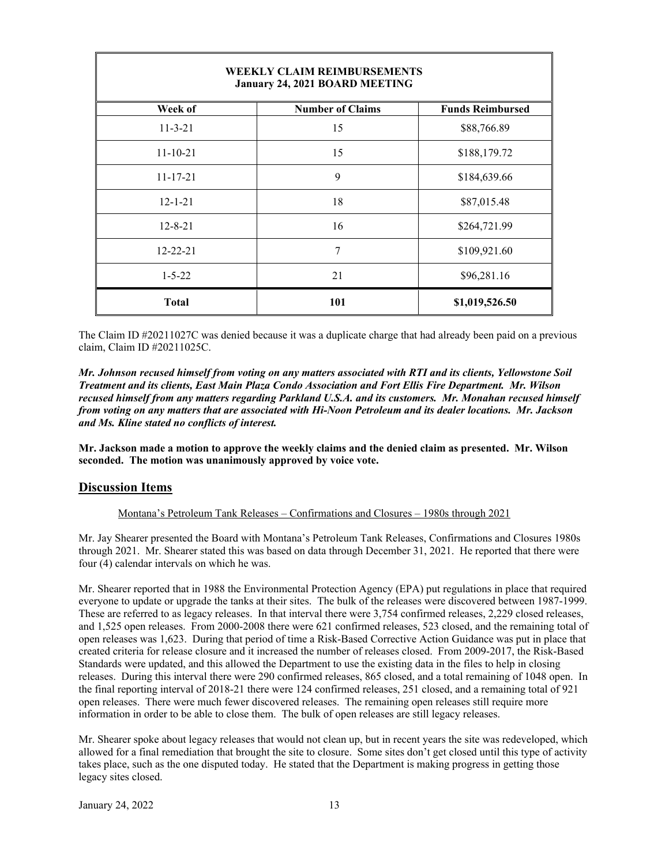| <b>WEEKLY CLAIM REIMBURSEMENTS</b><br>January 24, 2021 BOARD MEETING |                         |                         |  |  |
|----------------------------------------------------------------------|-------------------------|-------------------------|--|--|
| Week of                                                              | <b>Number of Claims</b> | <b>Funds Reimbursed</b> |  |  |
| $11 - 3 - 21$                                                        | 15                      | \$88,766.89             |  |  |
| $11 - 10 - 21$                                                       | 15                      | \$188,179.72            |  |  |
| $11 - 17 - 21$                                                       | 9                       | \$184,639.66            |  |  |
| $12 - 1 - 21$                                                        | 18                      | \$87,015.48             |  |  |
| $12 - 8 - 21$                                                        | 16                      | \$264,721.99            |  |  |
| $12 - 22 - 21$                                                       | 7                       | \$109,921.60            |  |  |
| $1 - 5 - 22$                                                         | 21                      | \$96,281.16             |  |  |
| Total                                                                | 101                     | \$1,019,526.50          |  |  |

The Claim ID #20211027C was denied because it was a duplicate charge that had already been paid on a previous claim, Claim ID #20211025C.

*Mr. Johnson recused himself from voting on any matters associated with RTI and its clients, Yellowstone Soil Treatment and its clients, East Main Plaza Condo Association and Fort Ellis Fire Department. Mr. Wilson recused himself from any matters regarding Parkland U.S.A. and its customers. Mr. Monahan recused himself from voting on any matters that are associated with Hi-Noon Petroleum and its dealer locations. Mr. Jackson and Ms. Kline stated no conflicts of interest.* 

**Mr. Jackson made a motion to approve the weekly claims and the denied claim as presented. Mr. Wilson seconded. The motion was unanimously approved by voice vote.** 

# **Discussion Items**

#### Montana's Petroleum Tank Releases – Confirmations and Closures – 1980s through 2021

Mr. Jay Shearer presented the Board with Montana's Petroleum Tank Releases, Confirmations and Closures 1980s through 2021. Mr. Shearer stated this was based on data through December 31, 2021. He reported that there were four (4) calendar intervals on which he was.

Mr. Shearer reported that in 1988 the Environmental Protection Agency (EPA) put regulations in place that required everyone to update or upgrade the tanks at their sites. The bulk of the releases were discovered between 1987-1999. These are referred to as legacy releases. In that interval there were 3,754 confirmed releases, 2,229 closed releases, and 1,525 open releases. From 2000-2008 there were 621 confirmed releases, 523 closed, and the remaining total of open releases was 1,623. During that period of time a Risk-Based Corrective Action Guidance was put in place that created criteria for release closure and it increased the number of releases closed. From 2009-2017, the Risk-Based Standards were updated, and this allowed the Department to use the existing data in the files to help in closing releases. During this interval there were 290 confirmed releases, 865 closed, and a total remaining of 1048 open. In the final reporting interval of 2018-21 there were 124 confirmed releases, 251 closed, and a remaining total of 921 open releases. There were much fewer discovered releases. The remaining open releases still require more information in order to be able to close them. The bulk of open releases are still legacy releases.

Mr. Shearer spoke about legacy releases that would not clean up, but in recent years the site was redeveloped, which allowed for a final remediation that brought the site to closure. Some sites don't get closed until this type of activity takes place, such as the one disputed today. He stated that the Department is making progress in getting those legacy sites closed.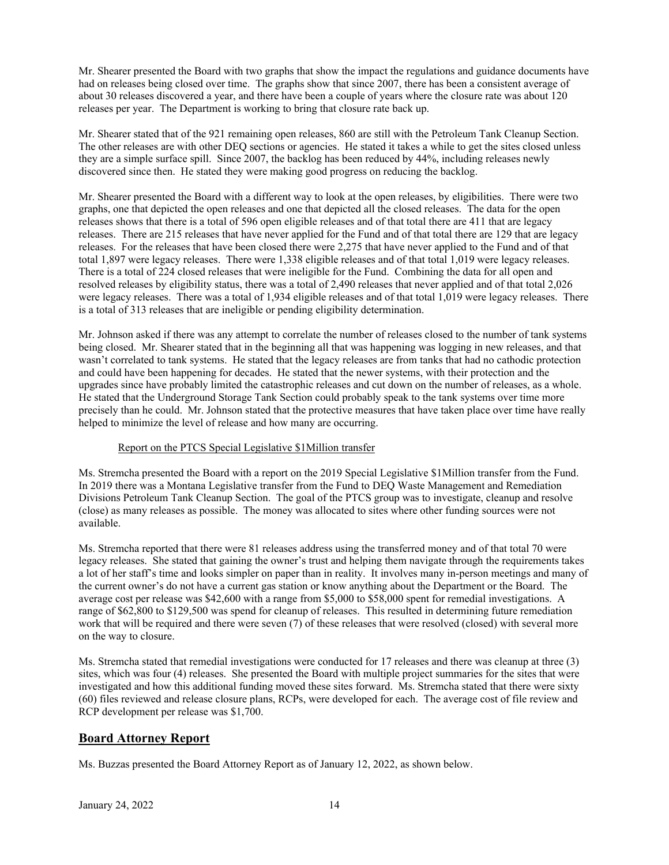Mr. Shearer presented the Board with two graphs that show the impact the regulations and guidance documents have had on releases being closed over time. The graphs show that since 2007, there has been a consistent average of about 30 releases discovered a year, and there have been a couple of years where the closure rate was about 120 releases per year. The Department is working to bring that closure rate back up.

Mr. Shearer stated that of the 921 remaining open releases, 860 are still with the Petroleum Tank Cleanup Section. The other releases are with other DEQ sections or agencies. He stated it takes a while to get the sites closed unless they are a simple surface spill. Since 2007, the backlog has been reduced by 44%, including releases newly discovered since then. He stated they were making good progress on reducing the backlog.

Mr. Shearer presented the Board with a different way to look at the open releases, by eligibilities. There were two graphs, one that depicted the open releases and one that depicted all the closed releases. The data for the open releases shows that there is a total of 596 open eligible releases and of that total there are 411 that are legacy releases. There are 215 releases that have never applied for the Fund and of that total there are 129 that are legacy releases. For the releases that have been closed there were 2,275 that have never applied to the Fund and of that total 1,897 were legacy releases. There were 1,338 eligible releases and of that total 1,019 were legacy releases. There is a total of 224 closed releases that were ineligible for the Fund. Combining the data for all open and resolved releases by eligibility status, there was a total of 2,490 releases that never applied and of that total 2,026 were legacy releases. There was a total of 1,934 eligible releases and of that total 1,019 were legacy releases. There is a total of 313 releases that are ineligible or pending eligibility determination.

Mr. Johnson asked if there was any attempt to correlate the number of releases closed to the number of tank systems being closed. Mr. Shearer stated that in the beginning all that was happening was logging in new releases, and that wasn't correlated to tank systems. He stated that the legacy releases are from tanks that had no cathodic protection and could have been happening for decades. He stated that the newer systems, with their protection and the upgrades since have probably limited the catastrophic releases and cut down on the number of releases, as a whole. He stated that the Underground Storage Tank Section could probably speak to the tank systems over time more precisely than he could. Mr. Johnson stated that the protective measures that have taken place over time have really helped to minimize the level of release and how many are occurring.

## Report on the PTCS Special Legislative \$1Million transfer

Ms. Stremcha presented the Board with a report on the 2019 Special Legislative \$1Million transfer from the Fund. In 2019 there was a Montana Legislative transfer from the Fund to DEQ Waste Management and Remediation Divisions Petroleum Tank Cleanup Section. The goal of the PTCS group was to investigate, cleanup and resolve (close) as many releases as possible. The money was allocated to sites where other funding sources were not available.

Ms. Stremcha reported that there were 81 releases address using the transferred money and of that total 70 were legacy releases. She stated that gaining the owner's trust and helping them navigate through the requirements takes a lot of her staff's time and looks simpler on paper than in reality. It involves many in-person meetings and many of the current owner's do not have a current gas station or know anything about the Department or the Board. The average cost per release was \$42,600 with a range from \$5,000 to \$58,000 spent for remedial investigations. A range of \$62,800 to \$129,500 was spend for cleanup of releases. This resulted in determining future remediation work that will be required and there were seven (7) of these releases that were resolved (closed) with several more on the way to closure.

Ms. Stremcha stated that remedial investigations were conducted for 17 releases and there was cleanup at three (3) sites, which was four (4) releases. She presented the Board with multiple project summaries for the sites that were investigated and how this additional funding moved these sites forward. Ms. Stremcha stated that there were sixty (60) files reviewed and release closure plans, RCPs, were developed for each. The average cost of file review and RCP development per release was \$1,700.

# **Board Attorney Report**

Ms. Buzzas presented the Board Attorney Report as of January 12, 2022, as shown below.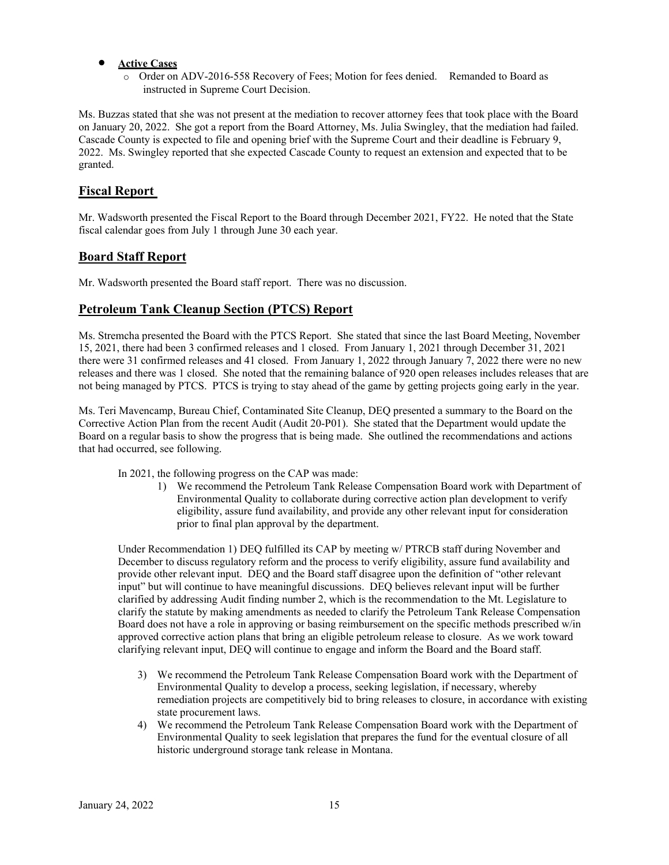## **Active Cases**

o Order on ADV-2016-558 Recovery of Fees; Motion for fees denied. Remanded to Board as instructed in Supreme Court Decision.

Ms. Buzzas stated that she was not present at the mediation to recover attorney fees that took place with the Board on January 20, 2022. She got a report from the Board Attorney, Ms. Julia Swingley, that the mediation had failed. Cascade County is expected to file and opening brief with the Supreme Court and their deadline is February 9, 2022. Ms. Swingley reported that she expected Cascade County to request an extension and expected that to be granted.

# **Fiscal Report**

Mr. Wadsworth presented the Fiscal Report to the Board through December 2021, FY22. He noted that the State fiscal calendar goes from July 1 through June 30 each year.

# **Board Staff Report**

Mr. Wadsworth presented the Board staff report. There was no discussion.

# **Petroleum Tank Cleanup Section (PTCS) Report**

Ms. Stremcha presented the Board with the PTCS Report. She stated that since the last Board Meeting, November 15, 2021, there had been 3 confirmed releases and 1 closed. From January 1, 2021 through December 31, 2021 there were 31 confirmed releases and 41 closed. From January 1, 2022 through January 7, 2022 there were no new releases and there was 1 closed. She noted that the remaining balance of 920 open releases includes releases that are not being managed by PTCS. PTCS is trying to stay ahead of the game by getting projects going early in the year.

Ms. Teri Mavencamp, Bureau Chief, Contaminated Site Cleanup, DEQ presented a summary to the Board on the Corrective Action Plan from the recent Audit (Audit 20-P01). She stated that the Department would update the Board on a regular basis to show the progress that is being made. She outlined the recommendations and actions that had occurred, see following.

In 2021, the following progress on the CAP was made:

1) We recommend the Petroleum Tank Release Compensation Board work with Department of Environmental Quality to collaborate during corrective action plan development to verify eligibility, assure fund availability, and provide any other relevant input for consideration prior to final plan approval by the department.

Under Recommendation 1) DEQ fulfilled its CAP by meeting w/ PTRCB staff during November and December to discuss regulatory reform and the process to verify eligibility, assure fund availability and provide other relevant input. DEQ and the Board staff disagree upon the definition of "other relevant input" but will continue to have meaningful discussions. DEQ believes relevant input will be further clarified by addressing Audit finding number 2, which is the recommendation to the Mt. Legislature to clarify the statute by making amendments as needed to clarify the Petroleum Tank Release Compensation Board does not have a role in approving or basing reimbursement on the specific methods prescribed w/in approved corrective action plans that bring an eligible petroleum release to closure. As we work toward clarifying relevant input, DEQ will continue to engage and inform the Board and the Board staff.

- 3) We recommend the Petroleum Tank Release Compensation Board work with the Department of Environmental Quality to develop a process, seeking legislation, if necessary, whereby remediation projects are competitively bid to bring releases to closure, in accordance with existing state procurement laws.
- 4) We recommend the Petroleum Tank Release Compensation Board work with the Department of Environmental Quality to seek legislation that prepares the fund for the eventual closure of all historic underground storage tank release in Montana.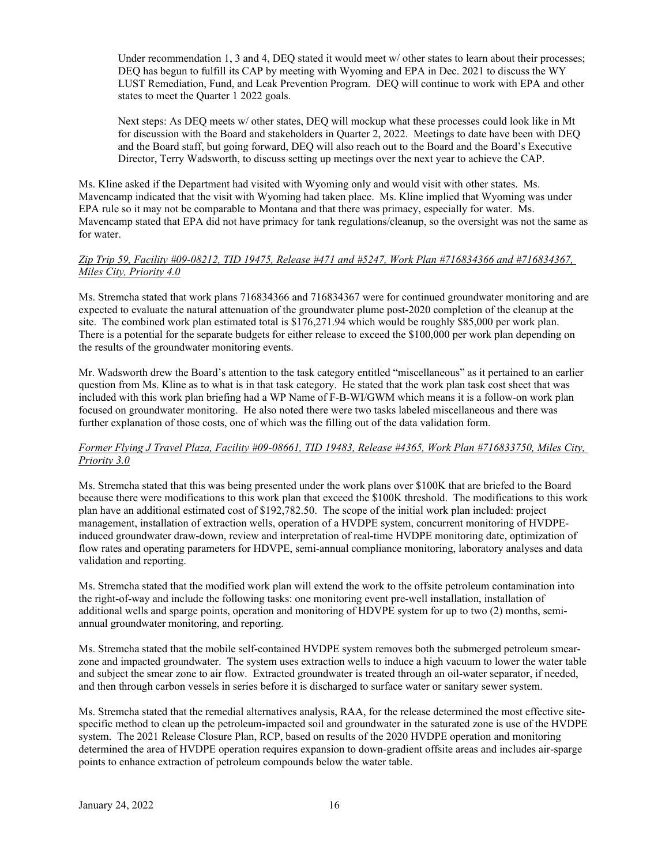Under recommendation 1, 3 and 4, DEQ stated it would meet w/ other states to learn about their processes; DEQ has begun to fulfill its CAP by meeting with Wyoming and EPA in Dec. 2021 to discuss the WY LUST Remediation, Fund, and Leak Prevention Program. DEQ will continue to work with EPA and other states to meet the Quarter 1 2022 goals.

Next steps: As DEQ meets w/ other states, DEQ will mockup what these processes could look like in Mt for discussion with the Board and stakeholders in Quarter 2, 2022. Meetings to date have been with DEQ and the Board staff, but going forward, DEQ will also reach out to the Board and the Board's Executive Director, Terry Wadsworth, to discuss setting up meetings over the next year to achieve the CAP.

Ms. Kline asked if the Department had visited with Wyoming only and would visit with other states. Ms. Mavencamp indicated that the visit with Wyoming had taken place. Ms. Kline implied that Wyoming was under EPA rule so it may not be comparable to Montana and that there was primacy, especially for water. Ms. Mavencamp stated that EPA did not have primacy for tank regulations/cleanup, so the oversight was not the same as for water.

## *Zip Trip 59, Facility #09-08212, TID 19475, Release #471 and #5247, Work Plan #716834366 and #716834367, Miles City, Priority 4.0*

Ms. Stremcha stated that work plans 716834366 and 716834367 were for continued groundwater monitoring and are expected to evaluate the natural attenuation of the groundwater plume post-2020 completion of the cleanup at the site. The combined work plan estimated total is \$176,271.94 which would be roughly \$85,000 per work plan. There is a potential for the separate budgets for either release to exceed the \$100,000 per work plan depending on the results of the groundwater monitoring events.

Mr. Wadsworth drew the Board's attention to the task category entitled "miscellaneous" as it pertained to an earlier question from Ms. Kline as to what is in that task category. He stated that the work plan task cost sheet that was included with this work plan briefing had a WP Name of F-B-WI/GWM which means it is a follow-on work plan focused on groundwater monitoring. He also noted there were two tasks labeled miscellaneous and there was further explanation of those costs, one of which was the filling out of the data validation form.

## *Former Flying J Travel Plaza, Facility #09-08661, TID 19483, Release #4365, Work Plan #716833750, Miles City, Priority 3.0*

Ms. Stremcha stated that this was being presented under the work plans over \$100K that are briefed to the Board because there were modifications to this work plan that exceed the \$100K threshold. The modifications to this work plan have an additional estimated cost of \$192,782.50. The scope of the initial work plan included: project management, installation of extraction wells, operation of a HVDPE system, concurrent monitoring of HVDPEinduced groundwater draw-down, review and interpretation of real-time HVDPE monitoring date, optimization of flow rates and operating parameters for HDVPE, semi-annual compliance monitoring, laboratory analyses and data validation and reporting.

Ms. Stremcha stated that the modified work plan will extend the work to the offsite petroleum contamination into the right-of-way and include the following tasks: one monitoring event pre-well installation, installation of additional wells and sparge points, operation and monitoring of HDVPE system for up to two (2) months, semiannual groundwater monitoring, and reporting.

Ms. Stremcha stated that the mobile self-contained HVDPE system removes both the submerged petroleum smearzone and impacted groundwater. The system uses extraction wells to induce a high vacuum to lower the water table and subject the smear zone to air flow. Extracted groundwater is treated through an oil-water separator, if needed, and then through carbon vessels in series before it is discharged to surface water or sanitary sewer system.

Ms. Stremcha stated that the remedial alternatives analysis, RAA, for the release determined the most effective sitespecific method to clean up the petroleum-impacted soil and groundwater in the saturated zone is use of the HVDPE system. The 2021 Release Closure Plan, RCP, based on results of the 2020 HVDPE operation and monitoring determined the area of HVDPE operation requires expansion to down-gradient offsite areas and includes air-sparge points to enhance extraction of petroleum compounds below the water table.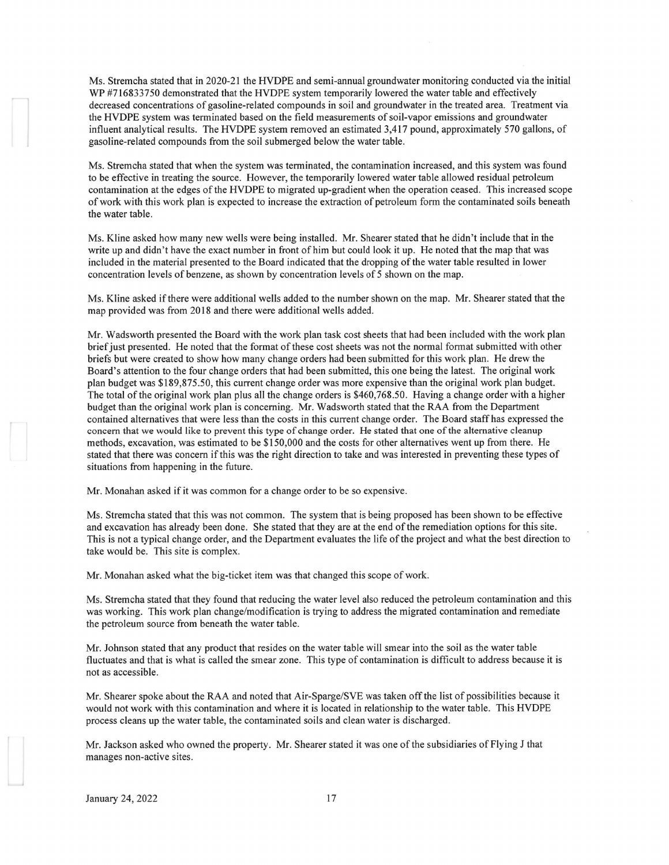Ms. Stremcha stated that in 2020-21 the HVDPE and semi-annual groundwater monitoring conducted via the initial WP #716833750 demonstrated that the HVDPE system temporarily lowered the water table and effectively decreased concentrations of gasoline-related compounds in soil and groundwater in the treated area. Treatment via the HVDPE system was terminated based on the field measurements of soil-vapor emissions and groundwater influent analytical results. The HVDPE system removed an estimated 3,417 pound, approximately 570 gallons, of gasoline-related compounds from the soil submerged below the water table.

Ms. Stremcha stated that when the system was terminated, the contamination increased, and this system was found to be effective in treating the source. However, the temporarily lowered water table allowed residual petroleum contamination at the edges of the HVDPE to migrated up-gradient when the operation ceased. This increased scope of work with this work plan is expected to increase the extraction of petroleum form the contaminated soils beneath the water table.

Ms. Kline asked how many new wells were being installed. Mr. Shearer stated that he didn't include that in the write up and didn't have the exact number in front of him but could look it up. He noted that the map that was included in the material presented to the Board indicated that the dropping of the water table resulted in lower concentration levels of benzene, as shown by concentration levels of 5 shown on the map.

Ms. Kline asked if there were additional wells added to the number shown on the map. Mr. Shearer stated that the map provided was from 2018 and there were additional wells added.

Mr. Wadsworth presented the Board with the work plan task cost sheets that had been included with the work plan brief just presented. He noted that the format of these cost sheets was not the normal format submitted with other briefs but were created to show how many change orders had been submitted for this work plan. He drew the Board's attention to the four change orders that had been submitted, this one being the latest. The original work plan budget was \$189,875.50, this current change order was more expensive than the original work plan budget. The total of the original work plan plus all the change orders is \$460,768.50. Having a change order with a higher budget than the original work plan is concerning. Mr. Wadsworth stated that the RAA from the Department contained alternatives that were less than the costs in this current change order. The Board staff has expressed the concern that we would like to prevent this type of change order. He stated that one of the alternative cleanup methods, excavation, was estimated to be \$150,000 and the costs for other alternatives went up from there. He stated that there was concern if this was the right direction to take and was interested in preventing these types of situations from happening in the future.

Mr. Monahan asked if it was common for a change order to be so expensive.

Ms. Stremcha stated that this was not common. The system that is being proposed has been shown to be effective and excavation has already been done. She stated that they are at the end of the remediation options for this site. This is not a typical change order, and the Department evaluates the life of the project and what the best direction to take would be. This site is complex.

Mr. Monahan asked what the big-ticket item was that changed this scope of work.

Ms. Stremcha stated that they found that reducing the water level also reduced the petroleum contamination and this was working. This work plan change/modification is trying to address the migrated contamination and remediate the petroleum source from beneath the water table.

Mr. Johnson stated that any product that resides on the water table will smear into the soil as the water table fluctuates and that is what is called the smear zone. This type of contamination is difficult to address because it is not as accessible.

Mr. Shearer spoke about the RAA and noted that Air-Sparge/SVE was taken off the list of possibilities because it would not work with this contamination and where it is located in relationship to the water table. This HVDPE process cleans up the water table, the contaminated soils and clean water is discharged.

Mr. Jackson asked who owned the property. Mr. Shearer stated it was one of the subsidiaries of Flying J that manages non-active sites.